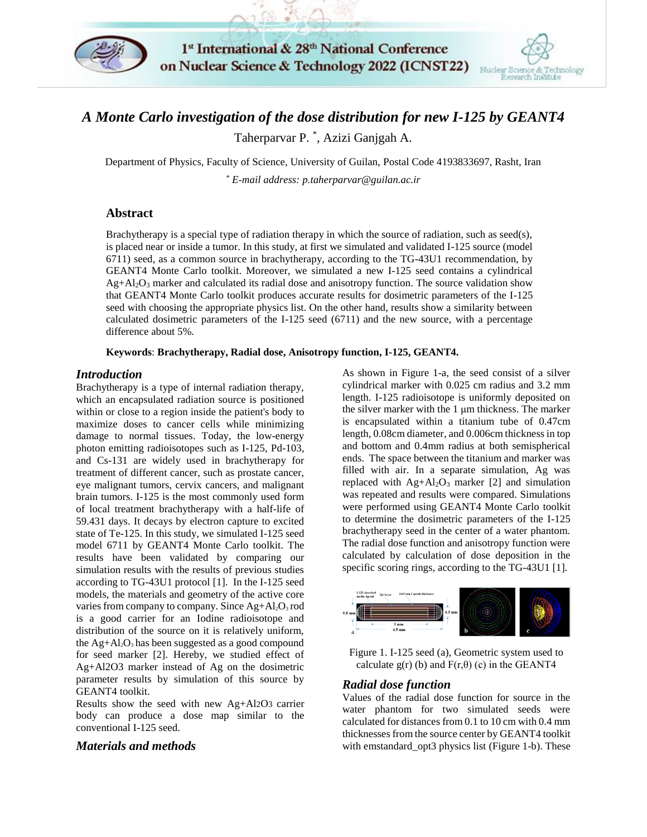

1st International & 28th National Conference on Nuclear Science & Technology 2022 (ICNST22)



# *A Monte Carlo investigation of the dose distribution for new I-125 by GEANT4*

Taherparvar P. \* , Azizi Ganjgah A.

Department of Physics, Faculty of Science, University of Guilan, Postal Code 4193833697, Rasht, Iran

*\* E-mail address: [p.taherparvar@guilan.ac.ir](mailto:p.taherparvar@guilan.ac.ir)*

## **Abstract**

Brachytherapy is a special type of radiation therapy in which the source of radiation, such as seed(s), is placed near or inside a tumor. In this study, at first we simulated and validated I-125 source (model 6711) seed, as a common source in brachytherapy, according to the TG-43U1 recommendation, by GEANT4 Monte Carlo toolkit. Moreover, we simulated a new I-125 seed contains a cylindrical  $Ag + A12O<sub>3</sub>$  marker and calculated its radial dose and anisotropy function. The source validation show that GEANT4 Monte Carlo toolkit produces accurate results for dosimetric parameters of the I-125 seed with choosing the appropriate physics list. On the other hand, results show a similarity between calculated dosimetric parameters of the I-125 seed (6711) and the new source, with a percentage difference about 5%.

**Keywords**: **Brachytherapy, Radial dose, Anisotropy function, I-125, GEANT4.**

### *Introduction*

Brachytherapy is a type of internal radiation therapy, which an encapsulated radiation source is positioned within or close to a region inside the patient's body to maximize doses to cancer cells while minimizing damage to normal tissues. Today, the low-energy photon emitting radioisotopes such as I-125, Pd-103, and Cs-131 are widely used in brachytherapy for treatment of different cancer, such as prostate cancer, eye malignant tumors, cervix cancers, and malignant brain tumors. I-125 is the most commonly used form of local treatment brachytherapy with a half-life of 59.431 days. It decays by electron capture to excited state of Te-125. In this study, we simulated I-125 seed model 6711 by GEANT4 Monte Carlo toolkit. The results have been validated by comparing our simulation results with the results of previous studies according to TG-43U1 protocol [1]. In the I-125 seed models, the materials and geometry of the active core varies from company to company. Since  $Ag + A1_2O_3$  rod is a good carrier for an Iodine radioisotope and distribution of the source on it is relatively uniform, the  $Ag + Al<sub>2</sub>O<sub>3</sub>$  has been suggested as a good compound for seed marker [2]. Hereby, we studied effect of Ag+Al2O3 marker instead of Ag on the dosimetric parameter results by simulation of this source by GEANT4 toolkit.

Results show the seed with new Ag+Al2O3 carrier body can produce a dose map similar to the conventional I-125 seed.

### *Materials and methods*

As shown in Figure 1-a, the seed consist of a silver cylindrical marker with 0.025 cm radius and 3.2 mm length. I-125 radioisotope is uniformly deposited on the silver marker with the 1 μm thickness. The marker is encapsulated within a titanium tube of 0.47cm length, 0.08cm diameter, and 0.006cm thickness in top and bottom and 0.4mm radius at both semispherical ends. The space between the titanium and marker was filled with air. In a separate simulation, Ag was replaced with  $Ag + Al<sub>2</sub>O<sub>3</sub>$  marker [2] and simulation was repeated and results were compared. Simulations were performed using GEANT4 Monte Carlo toolkit to determine the dosimetric parameters of the I-125 brachytherapy seed in the center of a water phantom. The radial dose function and anisotropy function were calculated by calculation of dose deposition in the specific scoring rings, according to the TG-43U1 [1].



Figure 1. I-125 seed (a), Geometric system used to calculate  $g(r)$  (b) and  $F(r,\theta)$  (c) in the GEANT4

### *Radial dose function*

Values of the radial dose function for source in the water phantom for two simulated seeds were calculated for distances from 0.1 to 10 cm with 0.4 mm thicknesses from the source center by GEANT4 toolkit with emstandard\_opt3 physics list (Figure 1-b). These